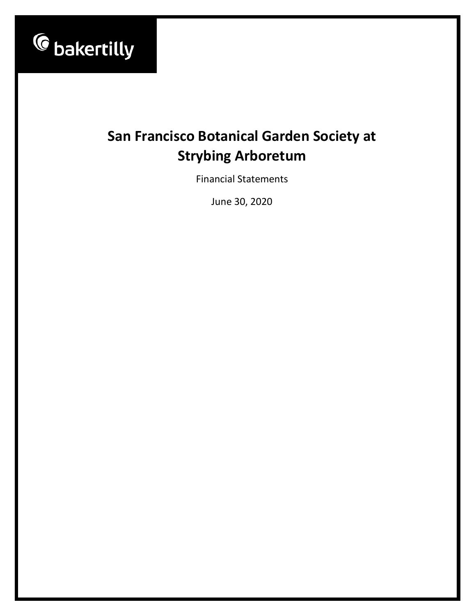

# **San Francisco Botanical Garden Society at Strybing Arboretum**

Financial Statements

June 30, 2020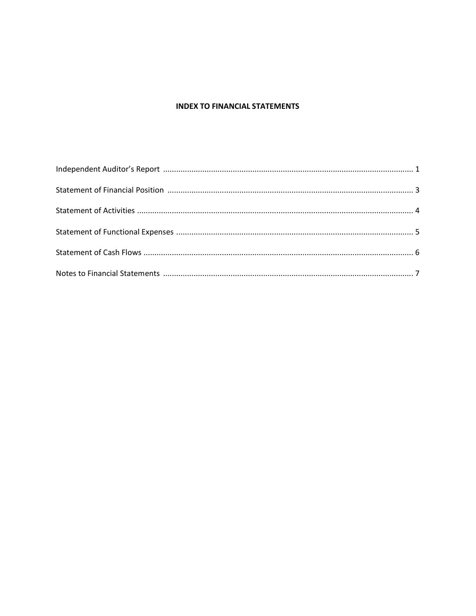# **INDEX TO FINANCIAL STATEMENTS**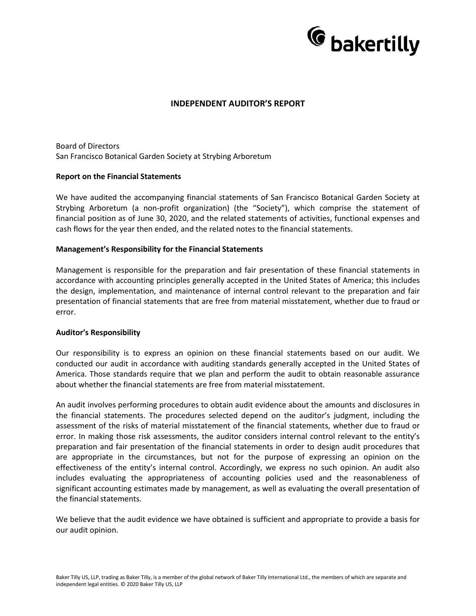

## **INDEPENDENT AUDITOR'S REPORT**

Board of Directors San Francisco Botanical Garden Society at Strybing Arboretum

#### **Report on the Financial Statements**

We have audited the accompanying financial statements of San Francisco Botanical Garden Society at Strybing Arboretum (a non-profit organization) (the "Society"), which comprise the statement of financial position as of June 30, 2020, and the related statements of activities, functional expenses and cash flows for the year then ended, and the related notes to the financial statements.

#### **Management's Responsibility for the Financial Statements**

Management is responsible for the preparation and fair presentation of these financial statements in accordance with accounting principles generally accepted in the United States of America; this includes the design, implementation, and maintenance of internal control relevant to the preparation and fair presentation of financial statements that are free from material misstatement, whether due to fraud or error.

#### **Auditor's Responsibility**

Our responsibility is to express an opinion on these financial statements based on our audit. We conducted our audit in accordance with auditing standards generally accepted in the United States of America. Those standards require that we plan and perform the audit to obtain reasonable assurance about whether the financial statements are free from material misstatement.

An audit involves performing procedures to obtain audit evidence about the amounts and disclosures in the financial statements. The procedures selected depend on the auditor's judgment, including the assessment of the risks of material misstatement of the financial statements, whether due to fraud or error. In making those risk assessments, the auditor considers internal control relevant to the entity's preparation and fair presentation of the financial statements in order to design audit procedures that are appropriate in the circumstances, but not for the purpose of expressing an opinion on the effectiveness of the entity's internal control. Accordingly, we express no such opinion. An audit also includes evaluating the appropriateness of accounting policies used and the reasonableness of significant accounting estimates made by management, as well as evaluating the overall presentation of the financial statements.

We believe that the audit evidence we have obtained is sufficient and appropriate to provide a basis for our audit opinion.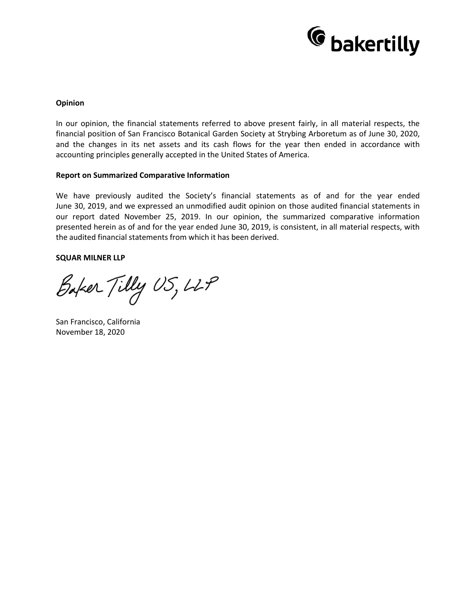

#### **Opinion**

In our opinion, the financial statements referred to above present fairly, in all material respects, the financial position of San Francisco Botanical Garden Society at Strybing Arboretum as of June 30, 2020, and the changes in its net assets and its cash flows for the year then ended in accordance with accounting principles generally accepted in the United States of America.

#### **Report on Summarized Comparative Information**

We have previously audited the Society's financial statements as of and for the year ended June 30, 2019, and we expressed an unmodified audit opinion on those audited financial statements in our report dated November 25, 2019. In our opinion, the summarized comparative information presented herein as of and for the year ended June 30, 2019, is consistent, in all material respects, with the audited financial statements from which it has been derived.

#### **SQUAR MILNER LLP**

Baker Tilly US, LLP

San Francisco, California November 18, 2020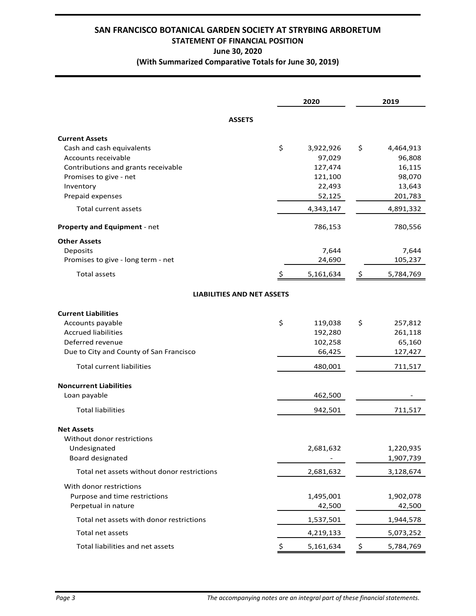# **SAN FRANCISCO BOTANICAL GARDEN SOCIETY AT STRYBING ARBORETUM STATEMENT OF FINANCIAL POSITION June 30, 2020 (With Summarized Comparative Totals for June 30, 2019)**

|                                                                                                                                                                                 | 2020                                                                | 2019                                                               |
|---------------------------------------------------------------------------------------------------------------------------------------------------------------------------------|---------------------------------------------------------------------|--------------------------------------------------------------------|
| <b>ASSETS</b>                                                                                                                                                                   |                                                                     |                                                                    |
| <b>Current Assets</b><br>Cash and cash equivalents<br>Accounts receivable<br>Contributions and grants receivable<br>Promises to give - net<br>Inventory<br>Prepaid expenses     | \$<br>3,922,926<br>97,029<br>127,474<br>121,100<br>22,493<br>52,125 | \$<br>4,464,913<br>96,808<br>16,115<br>98,070<br>13,643<br>201,783 |
| Total current assets                                                                                                                                                            | 4,343,147                                                           | 4,891,332                                                          |
| Property and Equipment - net                                                                                                                                                    | 786,153                                                             | 780,556                                                            |
| <b>Other Assets</b><br>Deposits<br>Promises to give - long term - net<br><b>Total assets</b>                                                                                    | 7,644<br>24,690<br>5,161,634<br>\$                                  | 7,644<br>105,237<br>\$<br>5,784,769                                |
| <b>LIABILITIES AND NET ASSETS</b>                                                                                                                                               |                                                                     |                                                                    |
| <b>Current Liabilities</b><br>Accounts payable<br><b>Accrued liabilities</b><br>Deferred revenue<br>Due to City and County of San Francisco<br><b>Total current liabilities</b> | \$<br>119,038<br>192,280<br>102,258<br>66,425<br>480,001            | \$<br>257,812<br>261,118<br>65,160<br>127,427<br>711,517           |
| <b>Noncurrent Liabilities</b><br>Loan payable                                                                                                                                   | 462,500                                                             |                                                                    |
| <b>Total liabilities</b>                                                                                                                                                        | 942,501                                                             | 711,517                                                            |
| <b>Net Assets</b><br>Without donor restrictions<br>Undesignated<br>Board designated                                                                                             | 2,681,632                                                           | 1,220,935<br>1,907,739                                             |
| Total net assets without donor restrictions                                                                                                                                     | 2,681,632                                                           | 3,128,674                                                          |
| With donor restrictions<br>Purpose and time restrictions<br>Perpetual in nature                                                                                                 | 1,495,001<br>42,500                                                 | 1,902,078<br>42,500                                                |
| Total net assets with donor restrictions                                                                                                                                        | 1,537,501                                                           | 1,944,578                                                          |
| Total net assets                                                                                                                                                                | 4,219,133                                                           | 5,073,252                                                          |
| Total liabilities and net assets                                                                                                                                                | 5,161,634                                                           | 5,784,769<br>\$.                                                   |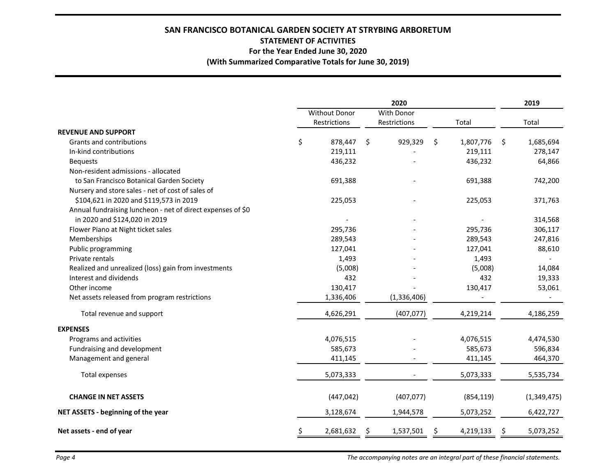# **SAN FRANCISCO BOTANICAL GARDEN SOCIETY AT STRYBING ARBORETUM STATEMENT OF ACTIVITIES For the Year Ended June 30, 2020 (With Summarized Comparative Totals for June 30, 2019)**

|                                                             | 2020 |                               |                            |             |       |            |      | 2019        |
|-------------------------------------------------------------|------|-------------------------------|----------------------------|-------------|-------|------------|------|-------------|
|                                                             |      | Without Donor<br>Restrictions | With Donor<br>Restrictions |             | Total |            |      | Total       |
| <b>REVENUE AND SUPPORT</b>                                  |      |                               |                            |             |       |            |      |             |
| Grants and contributions                                    | \$   | 878,447                       | $\ddot{\mathsf{S}}$        | 929,329     | \$    | 1,807,776  | - \$ | 1,685,694   |
| In-kind contributions                                       |      | 219,111                       |                            |             |       | 219,111    |      | 278,147     |
| <b>Bequests</b>                                             |      | 436,232                       |                            |             |       | 436,232    |      | 64,866      |
| Non-resident admissions - allocated                         |      |                               |                            |             |       |            |      |             |
| to San Francisco Botanical Garden Society                   |      | 691,388                       |                            |             |       | 691,388    |      | 742,200     |
| Nursery and store sales - net of cost of sales of           |      |                               |                            |             |       |            |      |             |
| \$104,621 in 2020 and \$119,573 in 2019                     |      | 225,053                       |                            |             |       | 225,053    |      | 371,763     |
| Annual fundraising luncheon - net of direct expenses of \$0 |      |                               |                            |             |       |            |      |             |
| in 2020 and \$124,020 in 2019                               |      |                               |                            |             |       |            |      | 314,568     |
| Flower Piano at Night ticket sales                          |      | 295,736                       |                            |             |       | 295,736    |      | 306,117     |
| Memberships                                                 |      | 289,543                       |                            |             |       | 289,543    |      | 247,816     |
| Public programming                                          |      | 127,041                       |                            |             |       | 127,041    |      | 88,610      |
| Private rentals                                             |      | 1,493                         |                            |             |       | 1,493      |      |             |
| Realized and unrealized (loss) gain from investments        |      | (5,008)                       |                            |             |       | (5,008)    |      | 14,084      |
| Interest and dividends                                      |      | 432                           |                            |             |       | 432        |      | 19,333      |
| Other income                                                |      | 130,417                       |                            |             |       | 130,417    |      | 53,061      |
| Net assets released from program restrictions               |      | 1,336,406                     |                            | (1,336,406) |       |            |      |             |
| Total revenue and support                                   |      | 4,626,291                     |                            | (407, 077)  |       | 4,219,214  |      | 4,186,259   |
| <b>EXPENSES</b>                                             |      |                               |                            |             |       |            |      |             |
| Programs and activities                                     |      | 4,076,515                     |                            |             |       | 4,076,515  |      | 4,474,530   |
| Fundraising and development                                 |      | 585,673                       |                            |             |       | 585,673    |      | 596,834     |
| Management and general                                      |      | 411,145                       |                            |             |       | 411,145    |      | 464,370     |
| Total expenses                                              |      | 5,073,333                     |                            |             |       | 5,073,333  |      | 5,535,734   |
| <b>CHANGE IN NET ASSETS</b>                                 |      | (447, 042)                    |                            | (407, 077)  |       | (854, 119) |      | (1,349,475) |
| NET ASSETS - beginning of the year                          |      | 3,128,674                     |                            | 1,944,578   |       | 5,073,252  |      | 6,422,727   |
| Net assets - end of year                                    | \$   | 2,681,632                     | \$                         | 1,537,501   | \$    | 4,219,133  | \$   | 5,073,252   |

*Page 4 The accompanying notes are an integral part of these financial statements.*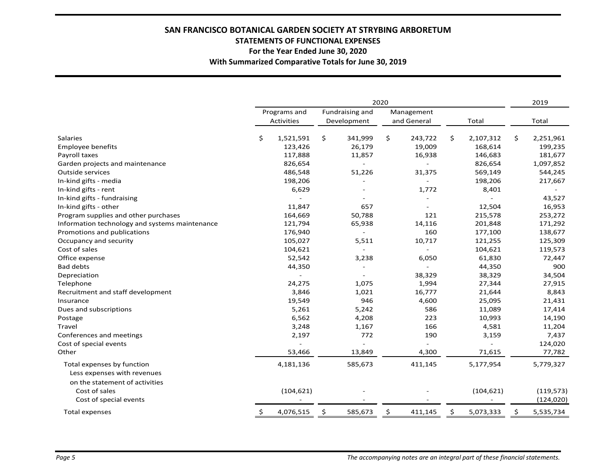# **SAN FRANCISCO BOTANICAL GARDEN SOCIETY AT STRYBING ARBORETUM STATEMENTS OF FUNCTIONAL EXPENSES For the Year Ended June 30, 2020 With Summarized Comparative Totals for June 30, 2019**

|                                                | 2020         |                   |                 |             |            |             | 2019 |            |                 |
|------------------------------------------------|--------------|-------------------|-----------------|-------------|------------|-------------|------|------------|-----------------|
|                                                | Programs and |                   | Fundraising and |             | Management |             |      |            |                 |
|                                                |              | <b>Activities</b> |                 | Development |            | and General |      | Total      | Total           |
| <b>Salaries</b>                                | \$           | 1,521,591         | \$              | 341,999     | \$         | 243,722     | \$   | 2,107,312  | \$<br>2,251,961 |
| Employee benefits                              |              | 123,426           |                 | 26,179      |            | 19,009      |      | 168,614    | 199,235         |
| Payroll taxes                                  |              | 117,888           |                 | 11,857      |            | 16,938      |      | 146,683    | 181,677         |
| Garden projects and maintenance                |              | 826,654           |                 |             |            |             |      | 826,654    | 1,097,852       |
| Outside services                               |              | 486,548           |                 | 51,226      |            | 31,375      |      | 569,149    | 544,245         |
| In-kind gifts - media                          |              | 198,206           |                 |             |            |             |      | 198,206    | 217,667         |
| In-kind gifts - rent                           |              | 6,629             |                 |             |            | 1,772       |      | 8,401      |                 |
| In-kind gifts - fundraising                    |              |                   |                 |             |            |             |      |            | 43,527          |
| In-kind gifts - other                          |              | 11,847            |                 | 657         |            |             |      | 12,504     | 16,953          |
| Program supplies and other purchases           |              | 164,669           |                 | 50,788      |            | 121         |      | 215,578    | 253,272         |
| Information technology and systems maintenance |              | 121,794           |                 | 65,938      |            | 14,116      |      | 201,848    | 171,292         |
| Promotions and publications                    |              | 176,940           |                 |             |            | 160         |      | 177,100    | 138,677         |
| Occupancy and security                         |              | 105,027           |                 | 5,511       |            | 10,717      |      | 121,255    | 125,309         |
| Cost of sales                                  |              | 104,621           |                 |             |            |             |      | 104,621    | 119,573         |
| Office expense                                 |              | 52,542            |                 | 3,238       |            | 6,050       |      | 61,830     | 72,447          |
| <b>Bad debts</b>                               |              | 44,350            |                 |             |            |             |      | 44,350     | 900             |
| Depreciation                                   |              |                   |                 |             |            | 38,329      |      | 38,329     | 34,504          |
| Telephone                                      |              | 24,275            |                 | 1,075       |            | 1,994       |      | 27,344     | 27,915          |
| Recruitment and staff development              |              | 3,846             |                 | 1,021       |            | 16,777      |      | 21,644     | 8,843           |
| Insurance                                      |              | 19,549            |                 | 946         |            | 4,600       |      | 25,095     | 21,431          |
| Dues and subscriptions                         |              | 5,261             |                 | 5,242       |            | 586         |      | 11,089     | 17,414          |
| Postage                                        |              | 6,562             |                 | 4,208       |            | 223         |      | 10,993     | 14,190          |
| Travel                                         |              | 3,248             |                 | 1,167       |            | 166         |      | 4,581      | 11,204          |
| Conferences and meetings                       |              | 2,197             |                 | 772         |            | 190         |      | 3,159      | 7,437           |
| Cost of special events                         |              |                   |                 |             |            |             |      |            | 124,020         |
| Other                                          |              | 53,466            |                 | 13,849      |            | 4,300       |      | 71,615     | 77,782          |
| Total expenses by function                     |              | 4,181,136         |                 | 585,673     |            | 411,145     |      | 5,177,954  | 5,779,327       |
| Less expenses with revenues                    |              |                   |                 |             |            |             |      |            |                 |
| on the statement of activities                 |              |                   |                 |             |            |             |      |            |                 |
| Cost of sales                                  |              | (104, 621)        |                 |             |            |             |      | (104, 621) | (119, 573)      |
| Cost of special events                         |              |                   |                 |             |            |             |      |            | (124, 020)      |
| Total expenses                                 | \$           | 4,076,515         | \$              | 585,673     | \$         | 411,145     | \$   | 5,073,333  | \$<br>5,535,734 |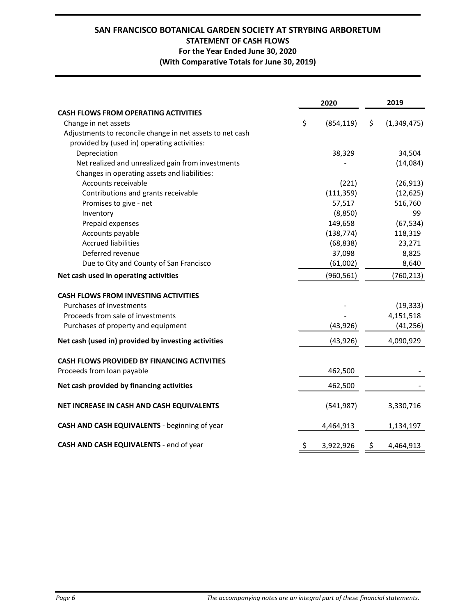# **SAN FRANCISCO BOTANICAL GARDEN SOCIETY AT STRYBING ARBORETUM STATEMENT OF CASH FLOWS For the Year Ended June 30, 2020 (With Comparative Totals for June 30, 2019)**

|                                                           | 2020             | 2019 |             |  |
|-----------------------------------------------------------|------------------|------|-------------|--|
| <b>CASH FLOWS FROM OPERATING ACTIVITIES</b>               |                  |      |             |  |
| Change in net assets                                      | \$<br>(854, 119) | \$   | (1,349,475) |  |
| Adjustments to reconcile change in net assets to net cash |                  |      |             |  |
| provided by (used in) operating activities:               |                  |      |             |  |
| Depreciation                                              | 38,329           |      | 34,504      |  |
| Net realized and unrealized gain from investments         |                  |      | (14,084)    |  |
| Changes in operating assets and liabilities:              |                  |      |             |  |
| Accounts receivable                                       | (221)            |      | (26, 913)   |  |
| Contributions and grants receivable                       | (111, 359)       |      | (12, 625)   |  |
| Promises to give - net                                    | 57,517           |      | 516,760     |  |
| Inventory                                                 | (8,850)          |      | 99          |  |
| Prepaid expenses                                          | 149,658          |      | (67, 534)   |  |
| Accounts payable                                          | (138, 774)       |      | 118,319     |  |
| <b>Accrued liabilities</b>                                | (68, 838)        |      | 23,271      |  |
| Deferred revenue                                          | 37,098           |      | 8,825       |  |
| Due to City and County of San Francisco                   | (61,002)         |      | 8,640       |  |
| Net cash used in operating activities                     | (960, 561)       |      | (760, 213)  |  |
| <b>CASH FLOWS FROM INVESTING ACTIVITIES</b>               |                  |      |             |  |
| Purchases of investments                                  |                  |      | (19, 333)   |  |
| Proceeds from sale of investments                         |                  |      | 4,151,518   |  |
| Purchases of property and equipment                       | (43, 926)        |      | (41, 256)   |  |
| Net cash (used in) provided by investing activities       | (43, 926)        |      | 4,090,929   |  |
| <b>CASH FLOWS PROVIDED BY FINANCING ACTIVITIES</b>        |                  |      |             |  |
| Proceeds from loan payable                                | 462,500          |      |             |  |
| Net cash provided by financing activities                 | 462,500          |      |             |  |
| NET INCREASE IN CASH AND CASH EQUIVALENTS                 | (541, 987)       |      | 3,330,716   |  |
| CASH AND CASH EQUIVALENTS - beginning of year             | 4,464,913        |      | 1,134,197   |  |
| CASH AND CASH EQUIVALENTS - end of year                   | \$<br>3,922,926  | \$   | 4,464,913   |  |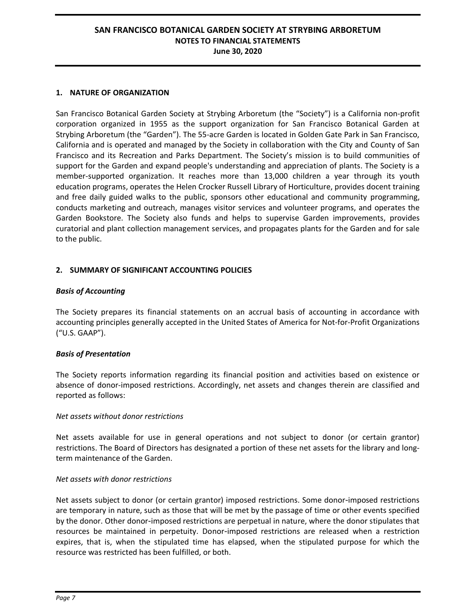#### **1. NATURE OF ORGANIZATION**

San Francisco Botanical Garden Society at Strybing Arboretum (the "Society") is a California non-profit corporation organized in 1955 as the support organization for San Francisco Botanical Garden at Strybing Arboretum (the "Garden"). The 55-acre Garden is located in Golden Gate Park in San Francisco, California and is operated and managed by the Society in collaboration with the City and County of San Francisco and its Recreation and Parks Department. The Society's mission is to build communities of support for the Garden and expand people's understanding and appreciation of plants. The Society is a member-supported organization. It reaches more than 13,000 children a year through its youth education programs, operates the Helen Crocker Russell Library of Horticulture, provides docent training and free daily guided walks to the public, sponsors other educational and community programming, conducts marketing and outreach, manages visitor services and volunteer programs, and operates the Garden Bookstore. The Society also funds and helps to supervise Garden improvements, provides curatorial and plant collection management services, and propagates plants for the Garden and for sale to the public.

## **2. SUMMARY OF SIGNIFICANT ACCOUNTING POLICIES**

## *Basis of Accounting*

The Society prepares its financial statements on an accrual basis of accounting in accordance with accounting principles generally accepted in the United States of America for Not-for-Profit Organizations ("U.S. GAAP").

## *Basis of Presentation*

The Society reports information regarding its financial position and activities based on existence or absence of donor-imposed restrictions. Accordingly, net assets and changes therein are classified and reported as follows:

#### *Net assets without donor restrictions*

Net assets available for use in general operations and not subject to donor (or certain grantor) restrictions. The Board of Directors has designated a portion of these net assets for the library and longterm maintenance of the Garden.

#### *Net assets with donor restrictions*

Net assets subject to donor (or certain grantor) imposed restrictions. Some donor-imposed restrictions are temporary in nature, such as those that will be met by the passage of time or other events specified by the donor. Other donor-imposed restrictions are perpetual in nature, where the donor stipulates that resources be maintained in perpetuity. Donor-imposed restrictions are released when a restriction expires, that is, when the stipulated time has elapsed, when the stipulated purpose for which the resource was restricted has been fulfilled, or both.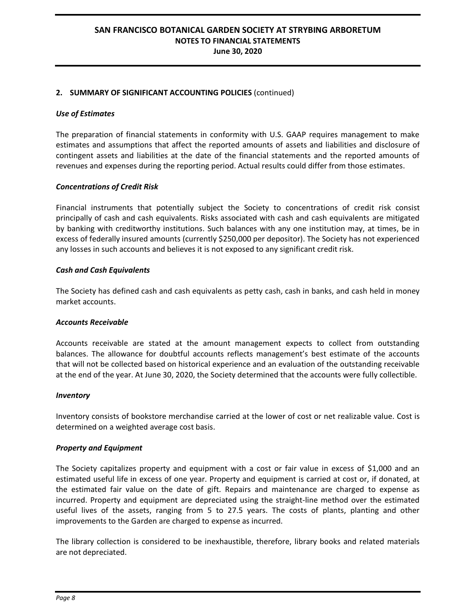## **2. SUMMARY OF SIGNIFICANT ACCOUNTING POLICIES** (continued)

#### *Use of Estimates*

The preparation of financial statements in conformity with U.S. GAAP requires management to make estimates and assumptions that affect the reported amounts of assets and liabilities and disclosure of contingent assets and liabilities at the date of the financial statements and the reported amounts of revenues and expenses during the reporting period. Actual results could differ from those estimates.

#### *Concentrations of Credit Risk*

Financial instruments that potentially subject the Society to concentrations of credit risk consist principally of cash and cash equivalents. Risks associated with cash and cash equivalents are mitigated by banking with creditworthy institutions. Such balances with any one institution may, at times, be in excess of federally insured amounts (currently \$250,000 per depositor). The Society has not experienced any losses in such accounts and believes it is not exposed to any significant credit risk.

#### *Cash and Cash Equivalents*

The Society has defined cash and cash equivalents as petty cash, cash in banks, and cash held in money market accounts.

#### *Accounts Receivable*

Accounts receivable are stated at the amount management expects to collect from outstanding balances. The allowance for doubtful accounts reflects management's best estimate of the accounts that will not be collected based on historical experience and an evaluation of the outstanding receivable at the end of the year. At June 30, 2020, the Society determined that the accounts were fully collectible.

#### *Inventory*

Inventory consists of bookstore merchandise carried at the lower of cost or net realizable value. Cost is determined on a weighted average cost basis.

#### *Property and Equipment*

The Society capitalizes property and equipment with a cost or fair value in excess of \$1,000 and an estimated useful life in excess of one year. Property and equipment is carried at cost or, if donated, at the estimated fair value on the date of gift. Repairs and maintenance are charged to expense as incurred. Property and equipment are depreciated using the straight-line method over the estimated useful lives of the assets, ranging from 5 to 27.5 years. The costs of plants, planting and other improvements to the Garden are charged to expense as incurred.

The library collection is considered to be inexhaustible, therefore, library books and related materials are not depreciated.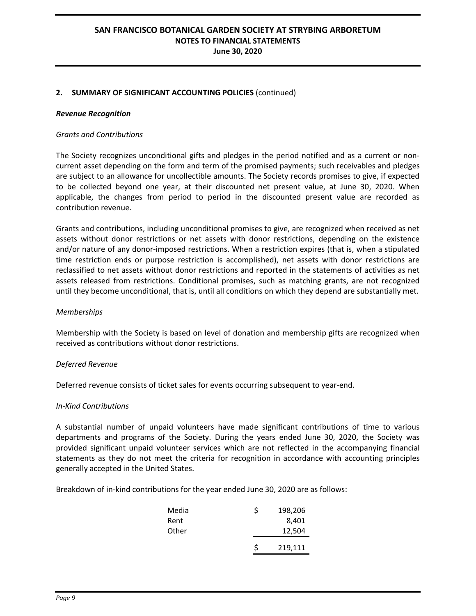## **2. SUMMARY OF SIGNIFICANT ACCOUNTING POLICIES** (continued)

#### *Revenue Recognition*

#### *Grants and Contributions*

The Society recognizes unconditional gifts and pledges in the period notified and as a current or noncurrent asset depending on the form and term of the promised payments; such receivables and pledges are subject to an allowance for uncollectible amounts. The Society records promises to give, if expected to be collected beyond one year, at their discounted net present value, at June 30, 2020. When applicable, the changes from period to period in the discounted present value are recorded as contribution revenue.

Grants and contributions, including unconditional promises to give, are recognized when received as net assets without donor restrictions or net assets with donor restrictions, depending on the existence and/or nature of any donor-imposed restrictions. When a restriction expires (that is, when a stipulated time restriction ends or purpose restriction is accomplished), net assets with donor restrictions are reclassified to net assets without donor restrictions and reported in the statements of activities as net assets released from restrictions. Conditional promises, such as matching grants, are not recognized until they become unconditional, that is, until all conditions on which they depend are substantially met.

#### *Memberships*

Membership with the Society is based on level of donation and membership gifts are recognized when received as contributions without donor restrictions.

#### *Deferred Revenue*

Deferred revenue consists of ticket sales for events occurring subsequent to year-end.

#### *In-Kind Contributions*

A substantial number of unpaid volunteers have made significant contributions of time to various departments and programs of the Society. During the years ended June 30, 2020, the Society was provided significant unpaid volunteer services which are not reflected in the accompanying financial statements as they do not meet the criteria for recognition in accordance with accounting principles generally accepted in the United States.

Breakdown of in-kind contributions for the year ended June 30, 2020 are as follows:

| Rent<br>Other |   | 8,401<br>12,504 |
|---------------|---|-----------------|
|               | Ś | 219,111         |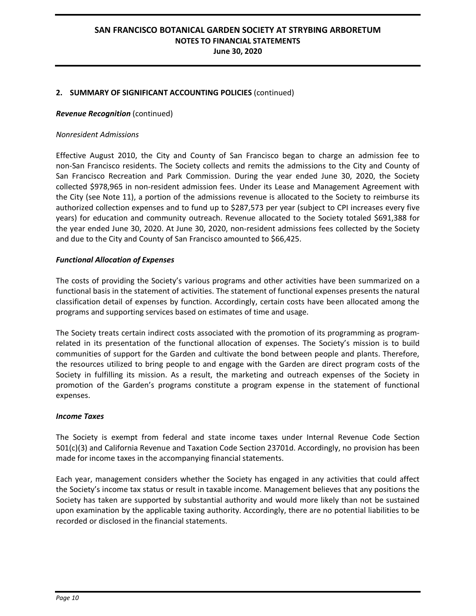## **2. SUMMARY OF SIGNIFICANT ACCOUNTING POLICIES** (continued)

#### *Revenue Recognition* (continued)

#### *Nonresident Admissions*

Effective August 2010, the City and County of San Francisco began to charge an admission fee to non-San Francisco residents. The Society collects and remits the admissions to the City and County of San Francisco Recreation and Park Commission. During the year ended June 30, 2020, the Society collected \$978,965 in non-resident admission fees. Under its Lease and Management Agreement with the City (see Note 11), a portion of the admissions revenue is allocated to the Society to reimburse its authorized collection expenses and to fund up to \$287,573 per year (subject to CPI increases every five years) for education and community outreach. Revenue allocated to the Society totaled \$691,388 for the year ended June 30, 2020. At June 30, 2020, non-resident admissions fees collected by the Society and due to the City and County of San Francisco amounted to \$66,425.

#### *Functional Allocation of Expenses*

The costs of providing the Society's various programs and other activities have been summarized on a functional basis in the statement of activities. The statement of functional expenses presents the natural classification detail of expenses by function. Accordingly, certain costs have been allocated among the programs and supporting services based on estimates of time and usage.

The Society treats certain indirect costs associated with the promotion of its programming as programrelated in its presentation of the functional allocation of expenses. The Society's mission is to build communities of support for the Garden and cultivate the bond between people and plants. Therefore, the resources utilized to bring people to and engage with the Garden are direct program costs of the Society in fulfilling its mission. As a result, the marketing and outreach expenses of the Society in promotion of the Garden's programs constitute a program expense in the statement of functional expenses.

#### *Income Taxes*

The Society is exempt from federal and state income taxes under Internal Revenue Code Section 501(c)(3) and California Revenue and Taxation Code Section 23701d. Accordingly, no provision has been made for income taxes in the accompanying financial statements.

Each year, management considers whether the Society has engaged in any activities that could affect the Society's income tax status or result in taxable income. Management believes that any positions the Society has taken are supported by substantial authority and would more likely than not be sustained upon examination by the applicable taxing authority. Accordingly, there are no potential liabilities to be recorded or disclosed in the financial statements.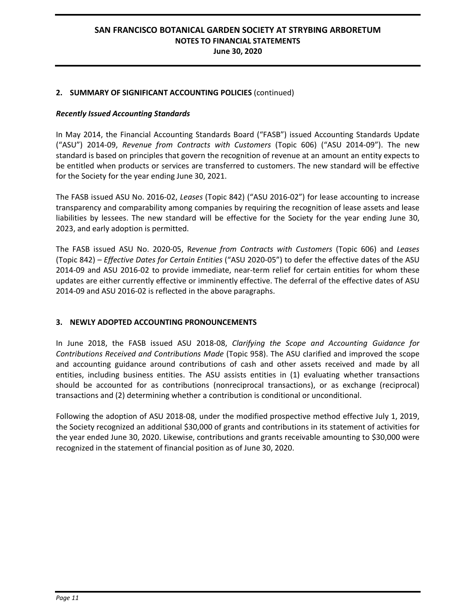## **2. SUMMARY OF SIGNIFICANT ACCOUNTING POLICIES** (continued)

## *Recently Issued Accounting Standards*

In May 2014, the Financial Accounting Standards Board ("FASB") issued Accounting Standards Update ("ASU") 2014-09, *Revenue from Contracts with Customers* (Topic 606) ("ASU 2014-09"). The new standard is based on principles that govern the recognition of revenue at an amount an entity expects to be entitled when products or services are transferred to customers. The new standard will be effective for the Society for the year ending June 30, 2021.

The FASB issued ASU No. 2016-02, *Leases* (Topic 842) ("ASU 2016-02") for lease accounting to increase transparency and comparability among companies by requiring the recognition of lease assets and lease liabilities by lessees. The new standard will be effective for the Society for the year ending June 30, 2023, and early adoption is permitted.

The FASB issued ASU No. 2020-05, R*evenue from Contracts with Customers* (Topic 606) and *Leases* (Topic 842) – *Effective Dates for Certain Entities* ("ASU 2020-05") to defer the effective dates of the ASU 2014-09 and ASU 2016-02 to provide immediate, near-term relief for certain entities for whom these updates are either currently effective or imminently effective. The deferral of the effective dates of ASU 2014-09 and ASU 2016-02 is reflected in the above paragraphs.

# **3. NEWLY ADOPTED ACCOUNTING PRONOUNCEMENTS**

In June 2018, the FASB issued ASU 2018-08, *Clarifying the Scope and Accounting Guidance for Contributions Received and Contributions Made* (Topic 958). The ASU clarified and improved the scope and accounting guidance around contributions of cash and other assets received and made by all entities, including business entities. The ASU assists entities in (1) evaluating whether transactions should be accounted for as contributions (nonreciprocal transactions), or as exchange (reciprocal) transactions and (2) determining whether a contribution is conditional or unconditional.

Following the adoption of ASU 2018-08, under the modified prospective method effective July 1, 2019, the Society recognized an additional \$30,000 of grants and contributions in its statement of activities for the year ended June 30, 2020. Likewise, contributions and grants receivable amounting to \$30,000 were recognized in the statement of financial position as of June 30, 2020.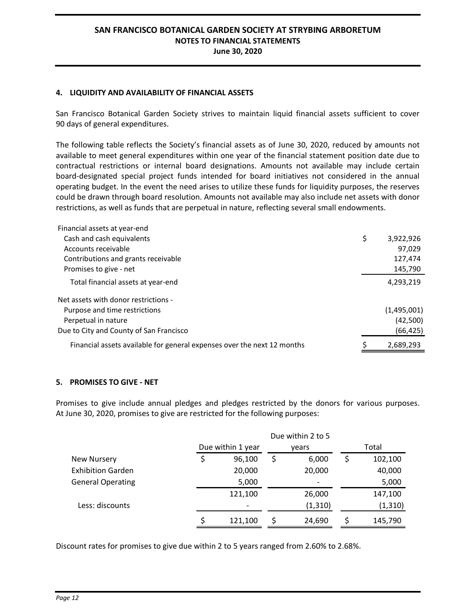#### **4. LIQUIDITY AND AVAILABILITY OF FINANCIAL ASSETS**

San Francisco Botanical Garden Society strives to maintain liquid financial assets sufficient to cover 90 days of general expenditures.

The following table reflects the Society's financial assets as of June 30, 2020, reduced by amounts not available to meet general expenditures within one year of the financial statement position date due to contractual restrictions or internal board designations. Amounts not available may include certain board-designated special project funds intended for board initiatives not considered in the annual operating budget. In the event the need arises to utilize these funds for liquidity purposes, the reserves could be drawn through board resolution. Amounts not available may also include net assets with donor restrictions, as well as funds that are perpetual in nature, reflecting several small endowments.

| Financial assets at year-end                                            |                 |
|-------------------------------------------------------------------------|-----------------|
| Cash and cash equivalents                                               | \$<br>3,922,926 |
| Accounts receivable                                                     | 97,029          |
| Contributions and grants receivable                                     | 127,474         |
| Promises to give - net                                                  | 145,790         |
| Total financial assets at year-end                                      | 4,293,219       |
| Net assets with donor restrictions -                                    |                 |
| Purpose and time restrictions                                           | (1,495,001)     |
| Perpetual in nature                                                     | (42,500)        |
| Due to City and County of San Francisco                                 | (66, 425)       |
| Financial assets available for general expenses over the next 12 months | 2,689,293       |

## **5. PROMISES TO GIVE - NET**

Promises to give include annual pledges and pledges restricted by the donors for various purposes. At June 30, 2020, promises to give are restricted for the following purposes:

|                          | Due within 2 to 5 |                          |  |          |   |          |  |  |  |  |
|--------------------------|-------------------|--------------------------|--|----------|---|----------|--|--|--|--|
|                          |                   | Due within 1 year        |  | vears    |   | Total    |  |  |  |  |
| <b>New Nursery</b>       |                   | 96,100                   |  | 6,000    | S | 102,100  |  |  |  |  |
| <b>Exhibition Garden</b> |                   | 20,000                   |  | 20,000   |   | 40,000   |  |  |  |  |
| <b>General Operating</b> |                   | 5,000                    |  |          |   | 5,000    |  |  |  |  |
|                          |                   | 121,100                  |  | 26,000   |   | 147,100  |  |  |  |  |
| Less: discounts          |                   | $\overline{\phantom{a}}$ |  | (1, 310) |   | (1, 310) |  |  |  |  |
|                          |                   | 121,100                  |  | 24,690   |   | 145,790  |  |  |  |  |

Discount rates for promises to give due within 2 to 5 years ranged from 2.60% to 2.68%.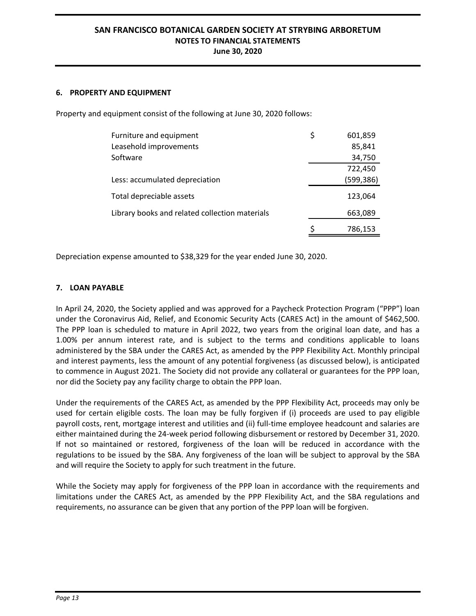#### **6. PROPERTY AND EQUIPMENT**

Property and equipment consist of the following at June 30, 2020 follows:

| Furniture and equipment                        | \$<br>601,859 |
|------------------------------------------------|---------------|
| Leasehold improvements                         | 85,841        |
| Software                                       | 34,750        |
|                                                | 722,450       |
| Less: accumulated depreciation                 | (599,386)     |
| Total depreciable assets                       | 123,064       |
| Library books and related collection materials | 663,089       |
|                                                | \$<br>786,153 |

Depreciation expense amounted to \$38,329 for the year ended June 30, 2020.

#### **7. LOAN PAYABLE**

In April 24, 2020, the Society applied and was approved for a Paycheck Protection Program ("PPP") loan under the Coronavirus Aid, Relief, and Economic Security Acts (CARES Act) in the amount of \$462,500. The PPP loan is scheduled to mature in April 2022, two years from the original loan date, and has a 1.00% per annum interest rate, and is subject to the terms and conditions applicable to loans administered by the SBA under the CARES Act, as amended by the PPP Flexibility Act. Monthly principal and interest payments, less the amount of any potential forgiveness (as discussed below), is anticipated to commence in August 2021. The Society did not provide any collateral or guarantees for the PPP loan, nor did the Society pay any facility charge to obtain the PPP loan.

Under the requirements of the CARES Act, as amended by the PPP Flexibility Act, proceeds may only be used for certain eligible costs. The loan may be fully forgiven if (i) proceeds are used to pay eligible payroll costs, rent, mortgage interest and utilities and (ii) full-time employee headcount and salaries are either maintained during the 24-week period following disbursement or restored by December 31, 2020. If not so maintained or restored, forgiveness of the loan will be reduced in accordance with the regulations to be issued by the SBA. Any forgiveness of the loan will be subject to approval by the SBA and will require the Society to apply for such treatment in the future.

While the Society may apply for forgiveness of the PPP loan in accordance with the requirements and limitations under the CARES Act, as amended by the PPP Flexibility Act, and the SBA regulations and requirements, no assurance can be given that any portion of the PPP loan will be forgiven.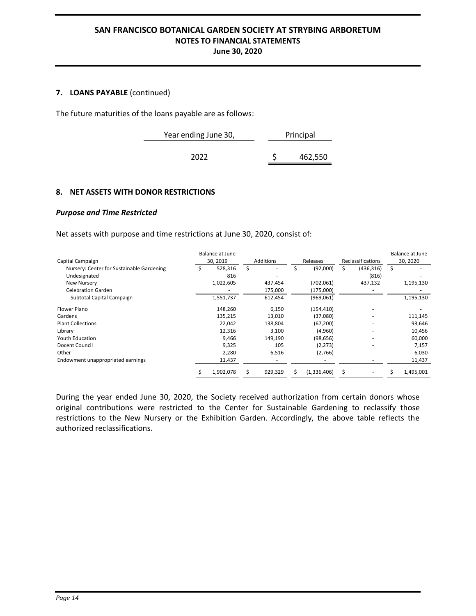## **7. LOANS PAYABLE** (continued)

The future maturities of the loans payable are as follows:

÷.

| Year ending June 30, | Principal |
|----------------------|-----------|
| 2022                 | 462,550   |
|                      |           |

## **8. NET ASSETS WITH DONOR RESTRICTIONS**

## *Purpose and Time Restricted*

Net assets with purpose and time restrictions at June 30, 2020, consist of:

|                                           | <b>Balance at June</b> |           |             |                   | Balance at June |
|-------------------------------------------|------------------------|-----------|-------------|-------------------|-----------------|
| Capital Campaign                          | 30, 2019               | Additions | Releases    | Reclassifications | 30, 2020        |
| Nursery: Center for Sustainable Gardening | 528,316                |           | (92,000)    | (436, 316)        |                 |
| Undesignated                              | 816                    |           |             | (816)             |                 |
| New Nursery                               | 1,022,605              | 437,454   | (702,061)   | 437,132           | 1,195,130       |
| <b>Celebration Garden</b>                 |                        | 175,000   | (175,000)   |                   |                 |
| Subtotal Capital Campaign                 | 1,551,737              | 612,454   | (969,061)   |                   | 1,195,130       |
| Flower Piano                              | 148,260                | 6,150     | (154, 410)  | ۰                 |                 |
| Gardens                                   | 135,215                | 13,010    | (37,080)    |                   | 111,145         |
| <b>Plant Collections</b>                  | 22,042                 | 138,804   | (67, 200)   |                   | 93,646          |
| Library                                   | 12,316                 | 3,100     | (4,960)     |                   | 10,456          |
| <b>Youth Education</b>                    | 9,466                  | 149,190   | (98, 656)   |                   | 60,000          |
| Docent Council                            | 9,325                  | 105       | (2, 273)    |                   | 7,157           |
| Other                                     | 2,280                  | 6,516     | (2,766)     |                   | 6,030           |
| Endowment unappropriated earnings         | 11,437                 |           |             |                   | 11,437          |
|                                           | 1,902,078              | 929,329   | (1,336,406) |                   | 1,495,001       |

During the year ended June 30, 2020, the Society received authorization from certain donors whose original contributions were restricted to the Center for Sustainable Gardening to reclassify those restrictions to the New Nursery or the Exhibition Garden. Accordingly, the above table reflects the authorized reclassifications.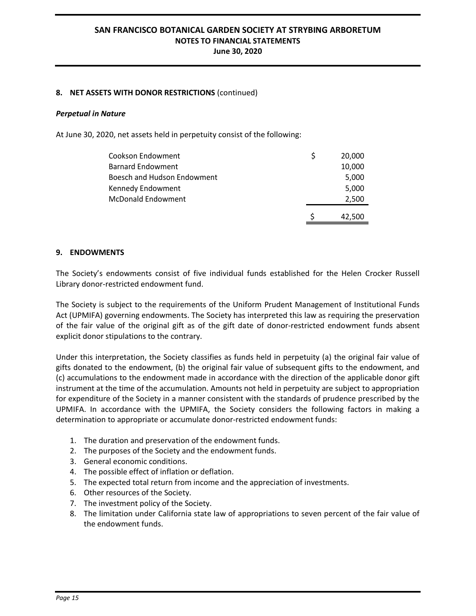## **8. NET ASSETS WITH DONOR RESTRICTIONS** (continued)

#### *Perpetual in Nature*

At June 30, 2020, net assets held in perpetuity consist of the following:

| Cookson Endowment           | 20,000 |
|-----------------------------|--------|
| <b>Barnard Endowment</b>    | 10,000 |
| Boesch and Hudson Endowment | 5,000  |
| Kennedy Endowment           | 5,000  |
| <b>McDonald Endowment</b>   | 2,500  |
|                             | 42,500 |

#### **9. ENDOWMENTS**

The Society's endowments consist of five individual funds established for the Helen Crocker Russell Library donor-restricted endowment fund.

The Society is subject to the requirements of the Uniform Prudent Management of Institutional Funds Act (UPMIFA) governing endowments. The Society has interpreted this law as requiring the preservation of the fair value of the original gift as of the gift date of donor-restricted endowment funds absent explicit donor stipulations to the contrary.

Under this interpretation, the Society classifies as funds held in perpetuity (a) the original fair value of gifts donated to the endowment, (b) the original fair value of subsequent gifts to the endowment, and (c) accumulations to the endowment made in accordance with the direction of the applicable donor gift instrument at the time of the accumulation. Amounts not held in perpetuity are subject to appropriation for expenditure of the Society in a manner consistent with the standards of prudence prescribed by the UPMIFA. In accordance with the UPMIFA, the Society considers the following factors in making a determination to appropriate or accumulate donor-restricted endowment funds:

- 1. The duration and preservation of the endowment funds.
- 2. The purposes of the Society and the endowment funds.
- 3. General economic conditions.
- 4. The possible effect of inflation or deflation.
- 5. The expected total return from income and the appreciation of investments.
- 6. Other resources of the Society.
- 7. The investment policy of the Society.
- 8. The limitation under California state law of appropriations to seven percent of the fair value of the endowment funds.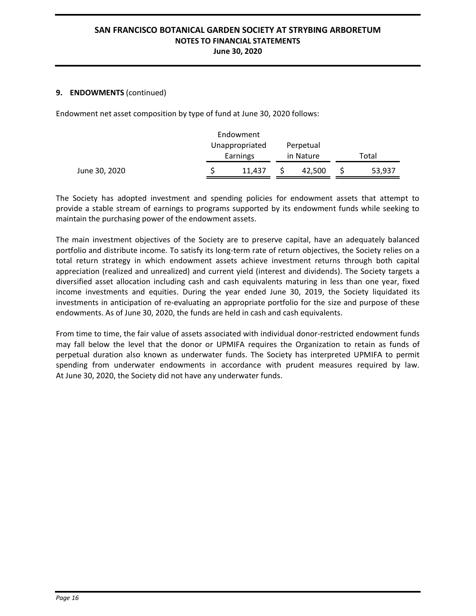## **9. ENDOWMENTS** (continued)

Endowment net asset composition by type of fund at June 30, 2020 follows:

|               |                | Endowment |           |        |       |        |
|---------------|----------------|-----------|-----------|--------|-------|--------|
|               | Unappropriated |           | Perpetual |        |       |        |
|               |                | Earnings  | in Nature |        | Total |        |
| June 30, 2020 |                | 11.437    |           | 42,500 |       | 53,937 |

The Society has adopted investment and spending policies for endowment assets that attempt to provide a stable stream of earnings to programs supported by its endowment funds while seeking to maintain the purchasing power of the endowment assets.

The main investment objectives of the Society are to preserve capital, have an adequately balanced portfolio and distribute income. To satisfy its long-term rate of return objectives, the Society relies on a total return strategy in which endowment assets achieve investment returns through both capital appreciation (realized and unrealized) and current yield (interest and dividends). The Society targets a diversified asset allocation including cash and cash equivalents maturing in less than one year, fixed income investments and equities. During the year ended June 30, 2019, the Society liquidated its investments in anticipation of re-evaluating an appropriate portfolio for the size and purpose of these endowments. As of June 30, 2020, the funds are held in cash and cash equivalents.

From time to time, the fair value of assets associated with individual donor-restricted endowment funds may fall below the level that the donor or UPMIFA requires the Organization to retain as funds of perpetual duration also known as underwater funds. The Society has interpreted UPMIFA to permit spending from underwater endowments in accordance with prudent measures required by law. At June 30, 2020, the Society did not have any underwater funds.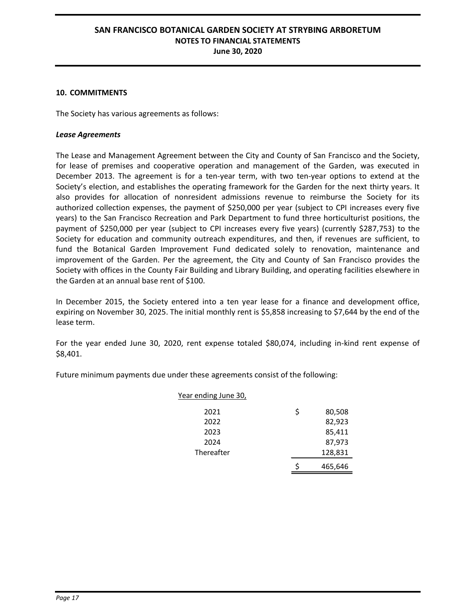#### **10. COMMITMENTS**

The Society has various agreements as follows:

## *Lease Agreements*

The Lease and Management Agreement between the City and County of San Francisco and the Society, for lease of premises and cooperative operation and management of the Garden, was executed in December 2013. The agreement is for a ten-year term, with two ten-year options to extend at the Society's election, and establishes the operating framework for the Garden for the next thirty years. It also provides for allocation of nonresident admissions revenue to reimburse the Society for its authorized collection expenses, the payment of \$250,000 per year (subject to CPI increases every five years) to the San Francisco Recreation and Park Department to fund three horticulturist positions, the payment of \$250,000 per year (subject to CPI increases every five years) (currently \$287,753) to the Society for education and community outreach expenditures, and then, if revenues are sufficient, to fund the Botanical Garden Improvement Fund dedicated solely to renovation, maintenance and improvement of the Garden. Per the agreement, the City and County of San Francisco provides the Society with offices in the County Fair Building and Library Building, and operating facilities elsewhere in the Garden at an annual base rent of \$100.

In December 2015, the Society entered into a ten year lease for a finance and development office, expiring on November 30, 2025. The initial monthly rent is \$5,858 increasing to \$7,644 by the end of the lease term.

For the year ended June 30, 2020, rent expense totaled \$80,074, including in-kind rent expense of \$8,401.

Future minimum payments due under these agreements consist of the following:

| Year ending June 30, |   |         |
|----------------------|---|---------|
| 2021                 | Ś | 80,508  |
| 2022                 |   | 82,923  |
| 2023                 |   | 85,411  |
| 2024                 |   | 87,973  |
| Thereafter           |   | 128,831 |
|                      |   | 465,646 |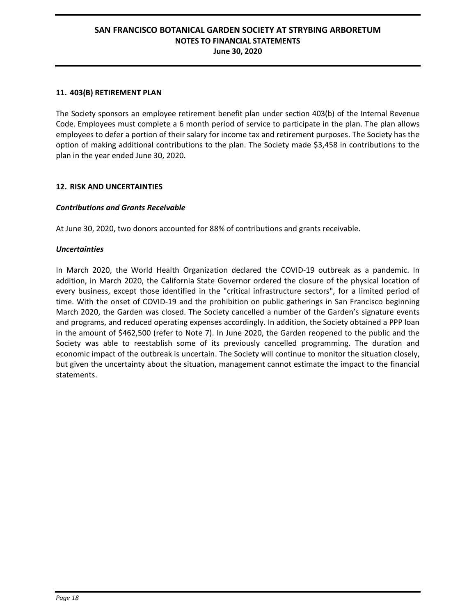## **11. 403(B) RETIREMENT PLAN**

The Society sponsors an employee retirement benefit plan under section 403(b) of the Internal Revenue Code. Employees must complete a 6 month period of service to participate in the plan. The plan allows employees to defer a portion of their salary for income tax and retirement purposes. The Society has the option of making additional contributions to the plan. The Society made \$3,458 in contributions to the plan in the year ended June 30, 2020.

#### **12. RISK AND UNCERTAINTIES**

## *Contributions and Grants Receivable*

At June 30, 2020, two donors accounted for 88% of contributions and grants receivable.

#### *Uncertainties*

In March 2020, the World Health Organization declared the COVID-19 outbreak as a pandemic. In addition, in March 2020, the California State Governor ordered the closure of the physical location of every business, except those identified in the "critical infrastructure sectors", for a limited period of time. With the onset of COVID-19 and the prohibition on public gatherings in San Francisco beginning March 2020, the Garden was closed. The Society cancelled a number of the Garden's signature events and programs, and reduced operating expenses accordingly. In addition, the Society obtained a PPP loan in the amount of \$462,500 (refer to Note 7). In June 2020, the Garden reopened to the public and the Society was able to reestablish some of its previously cancelled programming. The duration and economic impact of the outbreak is uncertain. The Society will continue to monitor the situation closely, but given the uncertainty about the situation, management cannot estimate the impact to the financial statements.